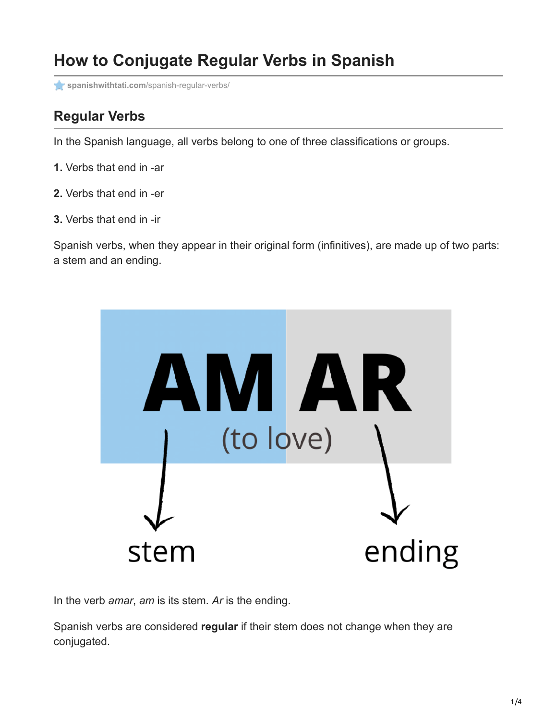# **How to Conjugate Regular Verbs in Spanish**

**spanishwithtati.com**[/spanish-regular-verbs/](https://spanishwithtati.com/spanish-regular-verbs/)

## **Regular Verbs**

In the Spanish language, all verbs belong to one of three classifications or groups.

- **1.** Verbs that end in -ar
- **2.** Verbs that end in -er
- **3.** Verbs that end in -ir

Spanish verbs, when they appear in their original form (infinitives), are made up of two parts: a stem and an ending.



In the verb *amar*, *am* is its stem. *Ar* is the ending.

Spanish verbs are considered **regular** if their stem does not change when they are conjugated.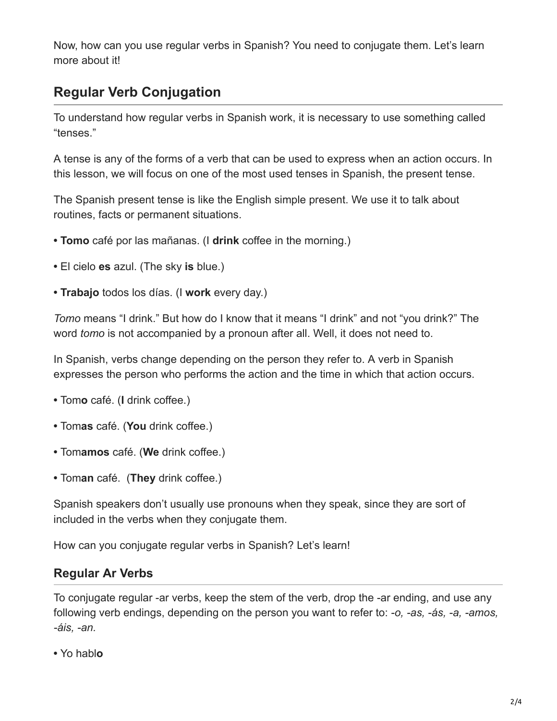Now, how can you use regular verbs in Spanish? You need to conjugate them. Let's learn more about it!

### **Regular Verb Conjugation**

To understand how regular verbs in Spanish work, it is necessary to use something called "tenses."

A tense is any of the forms of a verb that can be used to express when an action occurs. In this lesson, we will focus on one of the most used tenses in Spanish, the present tense.

The Spanish present tense is like the English simple present. We use it to talk about routines, facts or permanent situations.

- **Tomo** café por las mañanas. (I **drink** coffee in the morning.)
- El cielo **es** azul. (The sky **is** blue.)
- **Trabajo** todos los días. (I **work** every day.)

*Tomo* means "I drink." But how do I know that it means "I drink" and not "you drink?" The word *tomo* is not accompanied by a pronoun after all. Well, it does not need to.

In Spanish, verbs change depending on the person they refer to. A verb in Spanish expresses the person who performs the action and the time in which that action occurs.

- Tom**o** café. (**I** drink coffee.)
- Tom**as** café. (**You** drink coffee.)
- Tom**amos** café. (**We** drink coffee.)
- Tom**an** café. (**They** drink coffee.)

Spanish speakers don't usually use pronouns when they speak, since they are sort of included in the verbs when they conjugate them.

How can you conjugate regular verbs in Spanish? Let's learn!

#### **Regular Ar Verbs**

To conjugate regular -ar verbs, keep the stem of the verb, drop the -ar ending, and use any following verb endings, depending on the person you want to refer to: *-o, -as, -ás, -a, -amos, -áis, -an.* 

**•** Yo habl**o**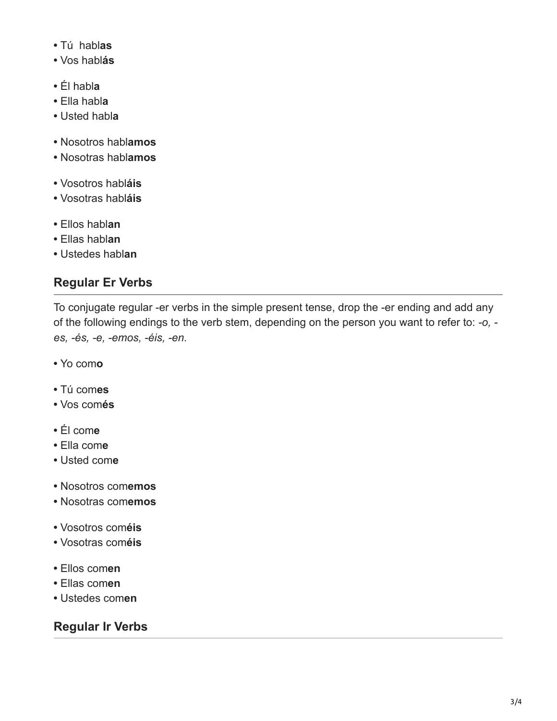- Tú habl**as**
- Vos habl**ás**
- Él habl**a**
- Ella habl**a**
- Usted habl**a**
- Nosotros habl**amos**
- Nosotras habl**amos**
- Vosotros habl**áis**
- Vosotras habl**áis**
- Ellos habl**an**
- Ellas habl**an**
- Ustedes habl**an**

### **Regular Er Verbs**

To conjugate regular -er verbs in the simple present tense, drop the -er ending and add any of the following endings to the verb stem, depending on the person you want to refer to: *-o, es, -és, -e, -emos, -éis, -en.*

- Yo com**o**
- Tú com**es**
- Vos com**és**
- Él com**e**
- Ella com**e**
- Usted com**e**
- Nosotros com**emos**
- Nosotras com**emos**
- Vosotros com**éis**
- Vosotras com**éis**
- Ellos com**en**
- Ellas com**en**
- Ustedes com**en**

### **Regular Ir Verbs**